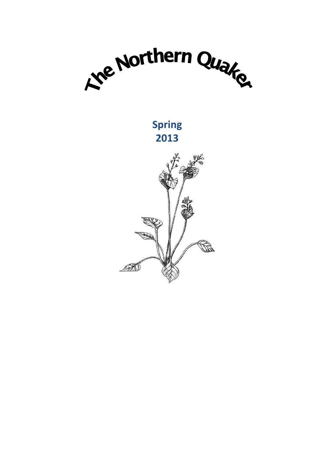

**Spring 2013**

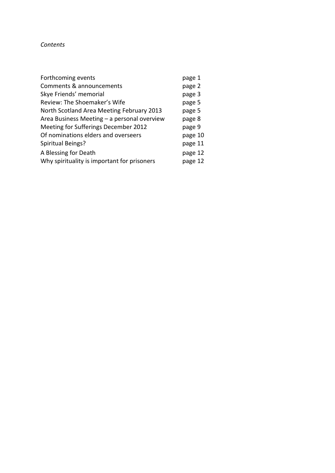## *Contents*

| Forthcoming events                          | page 1  |
|---------------------------------------------|---------|
| Comments & announcements                    | page 2  |
| Skye Friends' memorial                      | page 3  |
| Review: The Shoemaker's Wife                | page 5  |
| North Scotland Area Meeting February 2013   | page 5  |
| Area Business Meeting - a personal overview | page 8  |
| Meeting for Sufferings December 2012        | page 9  |
| Of nominations elders and overseers         | page 10 |
| Spiritual Beings?                           | page 11 |
| A Blessing for Death                        | page 12 |
| Why spirituality is important for prisoners | page 12 |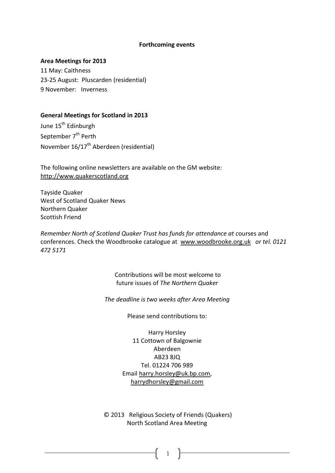#### **Forthcoming events**

#### **Area Meetings for 2013**

11 May: Caithness 23-25 August: Pluscarden (residential) 9 November: Inverness

### **General Meetings for Scotland in 2013**

June 15<sup>th</sup> Edinburgh September 7<sup>th</sup> Perth November 16/17th Aberdeen (residential)

The following online newsletters are available on the GM website: [http://www.quakerscotland.org](http://www.quakerscotland.org/)

Tayside Quaker West of Scotland Quaker News Northern Quaker Scottish Friend

*Remember North of Scotland Quaker Trust has funds for attendance at c*ourses and conferences. Check the Woodbrooke catalogue at [www.woodbrooke.org.uk](http://www.woodbrooke.org.uk/) *or tel. 0121 472 5171*

> Contributions will be most welcome to future issues of *The Northern Quaker*

*The deadline is two weeks after Area Meeting*

Please send contributions to:

Harry Horsley 11 Cottown of Balgownie Aberdeen AB23 8JQ Tel. 01224 706 989 Email [harry.horsley@uk.bp.com,](mailto:harry.horsley@uk.bp.com) [harrydhorsley@gmail.com](mailto:harrydhorsley@gmail.com)

© 2013 Religious Society of Friends (Quakers) North Scotland Area Meeting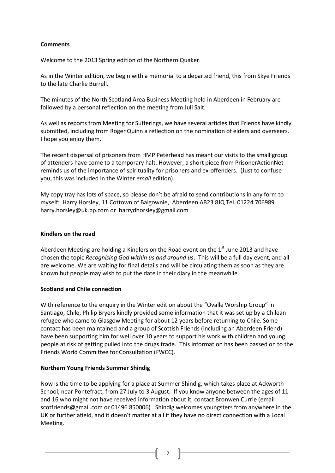# **Comments**

Welcome to the 2013 Spring edition of the Northern Quaker.

As in the Winter edition, we begin with a memorial to a departed friend, this from Skye Friends to the late Charlie Burrell.

The minutes of the North Scotland Area Business Meeting held in Aberdeen in February are followed by a personal reflection on the meeting from Juli Salt.

As well as reports from Meeting for Sufferings, we have several articles that Friends have kindly submitted, including from Roger Quinn a reflection on the nomination of elders and overseers. I hope you enjoy them.

The recent dispersal of prisoners from HMP Peterhead has meant our visits to the small group of attenders have come to a temporary halt. However, a short piece from PrisonerActionNet reminds us of the importance of spirituality for prisoners and ex-offenders. (Just to confuse you, this was included in the Winter *email* edition).

My copy tray has lots of space, so please don't be afraid to send contributions in any form to myself: Harry Horsley, 11 Cottown of Balgownie, Aberdeen AB23 8JQ Tel. 01224 706989 harry.horsley@uk.bp.com or harrydhorsley@gmail.com

# **Kindlers on the road**

Aberdeen Meeting are holding a Kindlers on the Road event on the  $1<sup>st</sup>$  June 2013 and have chosen the topic *Recognising God within us and around us*. This will be a full day event, and all are welcome. We are waiting for final details and will be circulating them as soon as they are known but people may wish to put the date in their diary in the meanwhile.

# **Scotland and Chile connection**

With reference to the enquiry in the Winter edition about the "Ovalle Worship Group" in Santiago, Chile, Philip Bryers kindly provided some information that it was set up by a Chilean refugee who came to Glasgow Meeting for about 12 years before returning to Chile. Some contact has been maintained and a group of Scottish Friends (including an Aberdeen Friend) have been supporting him for well over 10 years to support his work with children and young people at risk of getting pulled into the drugs trade. This information has been passed on to the Friends World Committee for Consultation (FWCC).

# **Northern Young Friends Summer Shindig**

Now is the time to be applying for a place at Summer Shindig, which takes place at Ackworth School, near Pontefract, from 27 July to 3 August. If you know anyone between the ages of 11 and 16 who might not have received information about it, contact Bronwen Currie (email scotfriends@gmail.com or 01496 850006) . Shindig welcomes youngsters from anywhere in the UK or further afield, and it doesn't matter at all if they have no direct connection with a Local Meeting.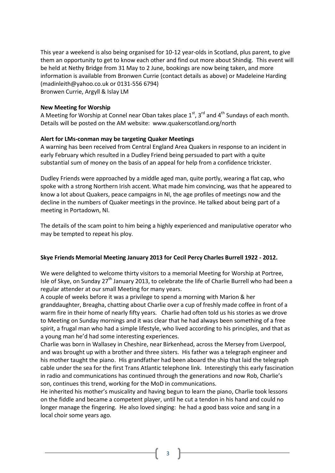This year a weekend is also being organised for 10-12 year-olds in Scotland, plus parent, to give them an opportunity to get to know each other and find out more about Shindig. This event will be held at Nethy Bridge from 31 May to 2 June, bookings are now being taken, and more information is available from Bronwen Currie (contact details as above) or Madeleine Harding (madinleith@yahoo.co.uk or 0131-556 6794) Bronwen Currie, Argyll & Islay LM

### **New Meeting for Worship**

A Meeting for Worship at Connel near Oban takes place  $1<sup>st</sup>$ ,  $3<sup>rd</sup>$  and  $4<sup>th</sup>$  Sundays of each month. Details will be posted on the AM website: www.quakerscotland.org/north

# **Alert for LMs-conman may be targeting Quaker Meetings**

A warning has been received from Central England Area Quakers in response to an incident in early February which resulted in a Dudley Friend being persuaded to part with a quite substantial sum of money on the basis of an appeal for help from a confidence trickster.

Dudley Friends were approached by a middle aged man, quite portly, wearing a flat cap, who spoke with a strong Northern Irish accent. What made him convincing, was that he appeared to know a lot about Quakers, peace campaigns in NI, the age profiles of meetings now and the decline in the numbers of Quaker meetings in the province. He talked about being part of a meeting in Portadown, NI.

The details of the scam point to him being a highly experienced and manipulative operator who may be tempted to repeat his ploy.

# **Skye Friends Memorial Meeting January 2013 for Cecil Percy Charles Burrell 1922 - 2012.**

We were delighted to welcome thirty visitors to a memorial Meeting for Worship at Portree, Isle of Skye, on Sunday 27<sup>th</sup> January 2013, to celebrate the life of Charlie Burrell who had been a regular attender at our small Meeting for many years.

A couple of weeks before it was a privilege to spend a morning with Marion & her granddaughter, Breagha, chatting about Charlie over a cup of freshly made coffee in front of a warm fire in their home of nearly fifty years. Charlie had often told us his stories as we drove to Meeting on Sunday mornings and it was clear that he had always been something of a free spirit, a frugal man who had a simple lifestyle, who lived according to his principles, and that as a young man he'd had some interesting experiences.

Charlie was born in Wallasey in Cheshire, near Birkenhead, across the Mersey from Liverpool, and was brought up with a brother and three sisters. His father was a telegraph engineer and his mother taught the piano. His grandfather had been aboard the ship that laid the telegraph cable under the sea for the first Trans Atlantic telephone link. Interestingly this early fascination in radio and communications has continued through the generations and now Rob, Charlie's son, continues this trend, working for the MoD in communications.

He inherited his mother's musicality and having begun to learn the piano, Charlie took lessons on the fiddle and became a competent player, until he cut a tendon in his hand and could no longer manage the fingering. He also loved singing: he had a good bass voice and sang in a local choir some years ago.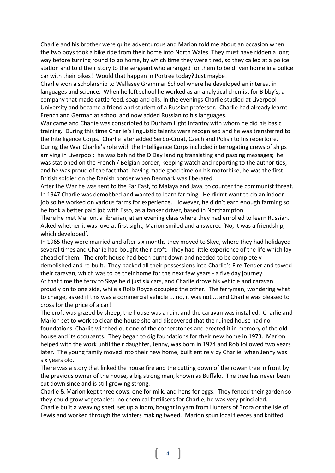Charlie and his brother were quite adventurous and Marion told me about an occasion when the two boys took a bike ride from their home into North Wales. They must have ridden a long way before turning round to go home, by which time they were tired, so they called at a police station and told their story to the sergeant who arranged for them to be driven home in a police car with their bikes! Would that happen in Portree today? Just maybe!

Charlie won a scholarship to Wallasey Grammar School where he developed an interest in languages and science. When he left school he worked as an analytical chemist for Bibby's, a company that made cattle feed, soap and oils. In the evenings Charlie studied at Liverpool University and became a friend and student of a Russian professor. Charlie had already learnt French and German at school and now added Russian to his languages.

War came and Charlie was conscripted to Durham Light Infantry with whom he did his basic training. During this time Charlie's linguistic talents were recognised and he was transferred to the Intelligence Corps. Charlie later added Serbo-Croat, Czech and Polish to his repertoire. During the War Charlie's role with the Intelligence Corps included interrogating crews of ships arriving in Liverpool; he was behind the D Day landing translating and passing messages; he was stationed on the French / Belgian border, keeping watch and reporting to the authorities; and he was proud of the fact that, having made good time on his motorbike, he was the first British soldier on the Danish border when Denmark was liberated.

After the War he was sent to the Far East, to Malaya and Java, to counter the communist threat. In 1947 Charlie was demobbed and wanted to learn farming. He didn't want to do an indoor job so he worked on various farms for experience. However, he didn't earn enough farming so he took a better paid job with Esso, as a tanker driver, based in Northampton.

There he met Marion, a librarian, at an evening class where they had enrolled to learn Russian. Asked whether it was love at first sight, Marion smiled and answered 'No, it was a friendship, which developed'.

In 1965 they were married and after six months they moved to Skye, where they had holidayed several times and Charlie had bought their croft. They had little experience of the life which lay ahead of them. The croft house had been burnt down and needed to be completely demolished and re-built. They packed all their possessions into Charlie's Fire Tender and towed their caravan, which was to be their home for the next few years - a five day journey. At that time the ferry to Skye held just six cars, and Charlie drove his vehicle and caravan proudly on to one side, while a Rolls Royce occupied the other. The ferryman, wondering what to charge, asked if this was a commercial vehicle ... no, it was not ... and Charlie was pleased to cross for the price of a car!

The croft was grazed by sheep, the house was a ruin, and the caravan was installed. Charlie and Marion set to work to clear the house site and discovered that the ruined house had no foundations. Charlie winched out one of the cornerstones and erected it in memory of the old house and its occupants. They began to dig foundations for their new home in 1973. Marion helped with the work until their daughter, Jenny, was born in 1974 and Rob followed two years later. The young family moved into their new home, built entirely by Charlie, when Jenny was six years old.

There was a story that linked the house fire and the cutting down of the rowan tree in front by the previous owner of the house, a big strong man, known as Buffalo. The tree has never been cut down since and is still growing strong.

Charlie & Marion kept three cows, one for milk, and hens for eggs. They fenced their garden so they could grow vegetables: no chemical fertilisers for Charlie, he was very principled.

Charlie built a weaving shed, set up a loom, bought in yarn from Hunters of Brora or the Isle of Lewis and worked through the winters making tweed. Marion spun local fleeces and knitted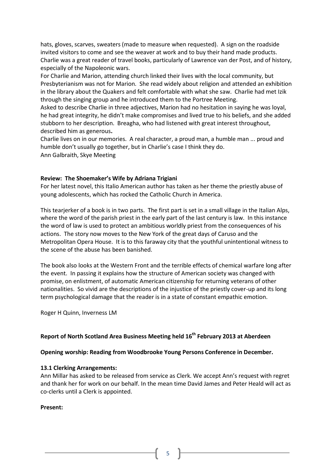hats, gloves, scarves, sweaters (made to measure when requested). A sign on the roadside invited visitors to come and see the weaver at work and to buy their hand made products. Charlie was a great reader of travel books, particularly of Lawrence van der Post, and of history, especially of the Napoleonic wars.

For Charlie and Marion, attending church linked their lives with the local community, but Presbyterianism was not for Marion. She read widely about religion and attended an exhibition in the library about the Quakers and felt comfortable with what she saw. Charlie had met Izik through the singing group and he introduced them to the Portree Meeting.

Asked to describe Charlie in three adjectives, Marion had no hesitation in saying he was loyal, he had great integrity, he didn't make compromises and lived true to his beliefs, and she added stubborn to her description. Breagha, who had listened with great interest throughout, described him as generous**.**

Charlie lives on in our memories. A real character, a proud man, a humble man ... proud and humble don't usually go together, but in Charlie's case I think they do. Ann Galbraith, Skye Meeting

#### **Review: The Shoemaker's Wife by Adriana Trigiani**

For her latest novel, this Italio American author has taken as her theme the priestly abuse of young adolescents, which has rocked the Catholic Church in America.

This tearjerker of a book is in two parts. The first part is set in a small village in the Italian Alps, where the word of the parish priest in the early part of the last century is law. In this instance the word of law is used to protect an ambitious worldly priest from the consequences of his actions. The story now moves to the New York of the great days of Caruso and the Metropolitan Opera House. It is to this faraway city that the youthful unintentional witness to the scene of the abuse has been banished.

The book also looks at the Western Front and the terrible effects of chemical warfare long after the event. In passing it explains how the structure of American society was changed with promise, on enlistment, of automatic American citizenship for returning veterans of other nationalities. So vivid are the descriptions of the injustice of the priestly cover-up and its long term psychological damage that the reader is in a state of constant empathic emotion.

Roger H Quinn, Inverness LM

# **Report of North Scotland Area Business Meeting held 16th February 2013 at Aberdeen**

**Opening worship: Reading from Woodbrooke Young Persons Conference in December.**

#### **13.1 Clerking Arrangements:**

Ann Millar has asked to be released from service as Clerk. We accept Ann's request with regret and thank her for work on our behalf. In the mean time David James and Peter Heald will act as co-clerks until a Clerk is appointed.

#### **Present:**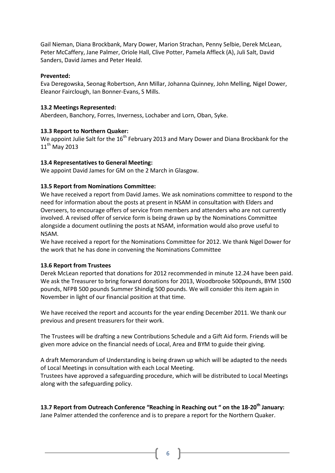Gail Nieman, Diana Brockbank, Mary Dower, Marion Strachan, Penny Selbie, Derek McLean, Peter McCaffery, Jane Palmer, Oriole Hall, Clive Potter, Pamela Affleck (A), Juli Salt, David Sanders, David James and Peter Heald.

# **Prevented:**

Eva Deregowska, Seonag Robertson, Ann Millar, Johanna Quinney, John Melling, Nigel Dower, Eleanor Fairclough, Ian Bonner-Evans, S Mills.

# **13.2 Meetings Represented:**

Aberdeen, Banchory, Forres, Inverness, Lochaber and Lorn, Oban, Syke.

# **13.3 Report to Northern Quaker:**

We appoint Julie Salt for the  $16<sup>th</sup>$  February 2013 and Mary Dower and Diana Brockbank for the  $11<sup>th</sup>$  May 2013

# **13.4 Representatives to General Meeting:**

We appoint David James for GM on the 2 March in Glasgow.

# **13.5 Report from Nominations Committee:**

We have received a report from David James. We ask nominations committee to respond to the need for information about the posts at present in NSAM in consultation with Elders and Overseers, to encourage offers of service from members and attenders who are not currently involved. A revised offer of service form is being drawn up by the Nominations Committee alongside a document outlining the posts at NSAM, information would also prove useful to NSAM.

We have received a report for the Nominations Committee for 2012. We thank Nigel Dower for the work that he has done in convening the Nominations Committee

# **13.6 Report from Trustees**

Derek McLean reported that donations for 2012 recommended in minute 12.24 have been paid. We ask the Treasurer to bring forward donations for 2013, Woodbrooke 500pounds, BYM 1500 pounds, NFPB 500 pounds Summer Shindig 500 pounds. We will consider this item again in November in light of our financial position at that time.

We have received the report and accounts for the year ending December 2011. We thank our previous and present treasurers for their work.

The Trustees will be drafting a new Contributions Schedule and a Gift Aid form. Friends will be given more advice on the financial needs of Local, Area and BYM to guide their giving.

A draft Memorandum of Understanding is being drawn up which will be adapted to the needs of Local Meetings in consultation with each Local Meeting.

Trustees have approved a safeguarding procedure, which will be distributed to Local Meetings along with the safeguarding policy.

**13.7 Report from Outreach Conference "Reaching in Reaching out " on the 18-20th January:** Jane Palmer attended the conference and is to prepare a report for the Northern Quaker.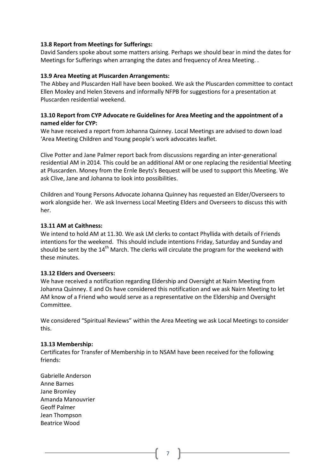# **13.8 Report from Meetings for Sufferings:**

David Sanders spoke about some matters arising. Perhaps we should bear in mind the dates for Meetings for Sufferings when arranging the dates and frequency of Area Meeting. .

# **13.9 Area Meeting at Pluscarden Arrangements:**

The Abbey and Pluscarden Hall have been booked. We ask the Pluscarden committee to contact Ellen Moxley and Helen Stevens and informally NFPB for suggestions for a presentation at Pluscarden residential weekend.

# **13.10 Report from CYP Advocate re Guidelines for Area Meeting and the appointment of a named elder for CYP:**

We have received a report from Johanna Quinney. Local Meetings are advised to down load 'Area Meeting Children and Young people's work advocates leaflet.

Clive Potter and Jane Palmer report back from discussions regarding an inter-generational residential AM in 2014. This could be an additional AM or one replacing the residential Meeting at Pluscarden. Money from the Ernle Beyts's Bequest will be used to support this Meeting. We ask Clive, Jane and Johanna to look into possibilities.

Children and Young Persons Advocate Johanna Quinney has requested an Elder/Overseers to work alongside her. We ask Inverness Local Meeting Elders and Overseers to discuss this with her.

# **13.11 AM at Caithness:**

We intend to hold AM at 11.30. We ask LM clerks to contact Phyllida with details of Friends intentions for the weekend. This should include intentions Friday, Saturday and Sunday and should be sent by the  $14<sup>th</sup>$  March. The clerks will circulate the program for the weekend with these minutes.

# **13.12 Elders and Overseers:**

We have received a notification regarding Eldership and Oversight at Nairn Meeting from Johanna Quinney. E and Os have considered this notification and we ask Nairn Meeting to let AM know of a Friend who would serve as a representative on the Eldership and Oversight Committee.

We considered "Spiritual Reviews" within the Area Meeting we ask Local Meetings to consider this.

# **13.13 Membership:**

Certificates for Transfer of Membership in to NSAM have been received for the following friends:

Gabrielle Anderson Anne Barnes Jane Bromley Amanda Manouvrier Geoff Palmer Jean Thompson Beatrice Wood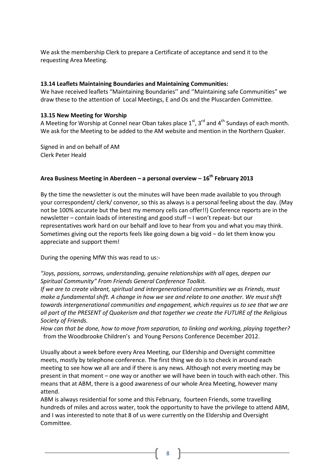We ask the membership Clerk to prepare a Certificate of acceptance and send it to the requesting Area Meeting.

# **13.14 Leaflets Maintaining Boundaries and Maintaining Communities:**

We have received leaflets "Maintaining Boundaries'' and ''Maintaining safe Communities" we draw these to the attention of Local Meetings, E and Os and the Pluscarden Committee.

# **13.15 New Meeting for Worship**

A Meeting for Worship at Connel near Oban takes place  $1^{st}$ ,  $3^{rd}$  and  $4^{th}$  Sundays of each month. We ask for the Meeting to be added to the AM website and mention in the Northern Quaker.

Signed in and on behalf of AM Clerk Peter Heald

# **Area Business Meeting in Aberdeen – a personal overview – 16th February 2013**

By the time the newsletter is out the minutes will have been made available to you through your correspondent/ clerk/ convenor, so this as always is a personal feeling about the day. (May not be 100% accurate but the best my memory cells can offer!!) Conference reports are in the newsletter – contain loads of interesting and good stuff – I won't repeat- but our representatives work hard on our behalf and love to hear from you and what you may think. Sometimes giving out the reports feels like going down a big void – do let them know you appreciate and support them!

During the opening MfW this was read to us:-

*"Joys, passions, sorrows, understanding, genuine relationships with all ages, deepen our Spiritual Community" From Friends General Conference Toolkit.*

*If we are to create vibrant, spiritual and intergenerational communities we as Friends, must make a fundamental shift. A change in how we see and relate to one another. We must shift towards intergenerational communities and engagement, which requires us to see that we are all part of the PRESENT of Quakerism and that together we create the FUTURE of the Religious Society of Friends.*

*How can that be done, how to move from separation, to linking and working, playing together?*  from the Woodbrooke Children's and Young Persons Conference December 2012.

Usually about a week before every Area Meeting, our Eldership and Oversight committee meets, mostly by telephone conference. The first thing we do is to check in around each meeting to see how we all are and if there is any news. Although not every meeting may be present in that moment – one way or another we will have been in touch with each other. This means that at ABM, there is a good awareness of our whole Area Meeting, however many attend.

ABM is always residential for some and this February, fourteen Friends, some travelling hundreds of miles and across water, took the opportunity to have the privilege to attend ABM, and I was interested to note that 8 of us were currently on the Eldership and Oversight Committee.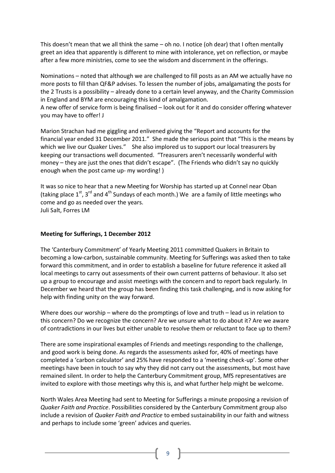This doesn't mean that we all think the same – oh no. I notice (oh dear) that I often mentally greet an idea that apparently is different to mine with intolerance, yet on reflection, or maybe after a few more ministries, come to see the wisdom and discernment in the offerings.

Nominations – noted that although we are challenged to fill posts as an AM we actually have no more posts to fill than QF&P advises. To lessen the number of jobs, amalgamating the posts for the 2 Trusts is a possibility – already done to a certain level anyway, and the Charity Commission in England and BYM are encouraging this kind of amalgamation.

A new offer of service form is being finalised – look out for it and do consider offering whatever you may have to offer! J

Marion Strachan had me giggling and enlivened giving the "Report and accounts for the financial year ended 31 December 2011." She made the serious point that "This is the means by which we live our Quaker Lives." She also implored us to support our local treasurers by keeping our transactions well documented. "Treasurers aren't necessarily wonderful with money – they are just the ones that didn't escape". (The Friends who didn't say no quickly enough when the post came up- my wording! )

It was so nice to hear that a new Meeting for Worship has started up at Connel near Oban (taking place  $1^{st}$ ,  $3^{rd}$  and  $4^{th}$  Sundays of each month.) We are a family of little meetings who come and go as needed over the years. Juli Salt, Forres LM

### **Meeting for Sufferings, 1 December 2012**

The 'Canterbury Commitment' of Yearly Meeting 2011 committed Quakers in Britain to becoming a low-carbon, sustainable community. Meeting for Sufferings was asked then to take forward this commitment, and in order to establish a baseline for future reference it asked all local meetings to carry out assessments of their own current patterns of behaviour. It also set up a group to encourage and assist meetings with the concern and to report back regularly. In December we heard that the group has been finding this task challenging, and is now asking for help with finding unity on the way forward.

Where does our worship – where do the promptings of love and truth – lead us in relation to this concern? Do we recognize the concern? Are we unsure what to do about it? Are we aware of contradictions in our lives but either unable to resolve them or reluctant to face up to them?

There are some inspirational examples of Friends and meetings responding to the challenge, and good work is being done. As regards the assessments asked for, 40% of meetings have completed a 'carbon calculator' and 25% have responded to a 'meeting check-up'. Some other meetings have been in touch to say why they did not carry out the assessments, but most have remained silent. In order to help the Canterbury Commitment group, MfS representatives are invited to explore with those meetings why this is, and what further help might be welcome.

North Wales Area Meeting had sent to Meeting for Sufferings a minute proposing a revision of *Quaker Faith and Practice*. Possibilities considered by the Canterbury Commitment group also include a revision of *Quaker Faith and Practice* to embed sustainability in our faith and witness and perhaps to include some 'green' advices and queries.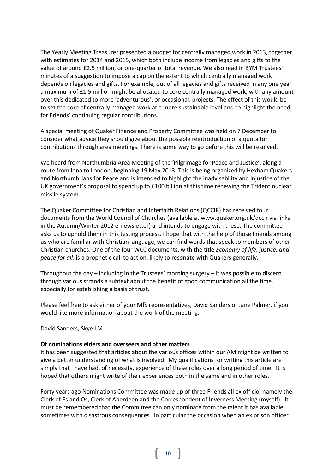The Yearly Meeting Treasurer presented a budget for centrally managed work in 2013, together with estimates for 2014 and 2015, which both include income from legacies and gifts to the value of around £2.5 million, or one-quarter of total revenue. We also read in BYM Trustees' minutes of a suggestion to impose a cap on the extent to which centrally managed work depends on legacies and gifts. For example, out of all legacies and gifts received in any one year a maximum of £1.5 million might be allocated to core centrally managed work, with any amount over this dedicated to more 'adventurous', or occasional, projects. The effect of this would be to set the core of centrally managed work at a more sustainable level and to highlight the need for Friends' continuing regular contributions.

A special meeting of Quaker Finance and Property Committee was held on 7 December to consider what advice they should give about the possible reintroduction of a quota for contributions through area meetings. There is some way to go before this will be resolved.

We heard from Northumbria Area Meeting of the 'Pilgrimage for Peace and Justice', along a route from Iona to London, beginning 19 May 2013. This is being organized by Hexham Quakers and Northumbrians for Peace and is intended to highlight the inadvisability and injustice of the UK government's proposal to spend up to £100 billion at this time renewing the Trident nuclear missile system.

The Quaker Committee for Christian and Interfaith Relations (QCCIR) has received four documents from the World Council of Churches (available at www.quaker.org.uk/qccir via links in the Autumn/Winter 2012 e-newsletter) and intends to engage with these. The committee asks us to uphold them in this testing process. I hope that with the help of those Friends among us who are familiar with Christian language, we can find words that speak to members of other Christian churches. One of the four WCC documents, with the title *Economy of life, justice, and peace for all*, is a prophetic call to action, likely to resonate with Quakers generally.

Throughout the day – including in the Trustees' morning surgery – it was possible to discern through various strands a subtext about the benefit of good communication all the time, especially for establishing a basis of trust.

Please feel free to ask either of your MfS representatives, David Sanders or Jane Palmer, if you would like more information about the work of the meeting.

David Sanders, Skye LM

#### **Of nominations elders and overseers and other matters**

It has been suggested that articles about the various offices within our AM might be written to give a better understanding of what is involved. My qualifications for writing this article are simply that I have had, of necessity, experience of these roles over a long period of time. It is hoped that others might write of their experiences both in the same and in other roles.

Forty years ago Nominations Committee was made up of three Friends all ex officio, namely the Clerk of Es and Os, Clerk of Aberdeen and the Correspondent of Inverness Meeting (myself). It must be remembered that the Committee can only nominate from the talent it has available, sometimes with disastrous consequences. In particular the occasion when an ex prison officer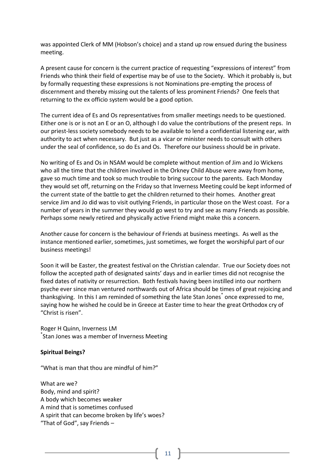was appointed Clerk of MM (Hobson's choice) and a stand up row ensued during the business meeting.

A present cause for concern is the current practice of requesting "expressions of interest" from Friends who think their field of expertise may be of use to the Society. Which it probably is, but by formally requesting these expressions is not Nominations pre-empting the process of discernment and thereby missing out the talents of less prominent Friends? One feels that returning to the ex officio system would be a good option.

The current idea of Es and Os representatives from smaller meetings needs to be questioned. Either one is or is not an E or an O, although I do value the contributions of the present reps. In our priest-less society somebody needs to be available to lend a confidential listening ear, with authority to act when necessary. But just as a vicar or minister needs to consult with others under the seal of confidence, so do Es and Os. Therefore our business should be in private.

No writing of Es and Os in NSAM would be complete without mention of Jim and Jo Wickens who all the time that the children involved in the Orkney Child Abuse were away from home, gave so much time and took so much trouble to bring succour to the parents. Each Monday they would set off, returning on the Friday so that Inverness Meeting could be kept informed of the current state of the battle to get the children returned to their homes. Another great service Jim and Jo did was to visit outlying Friends, in particular those on the West coast. For a number of years in the summer they would go west to try and see as many Friends as possible. Perhaps some newly retired and physically active Friend might make this a concern.

Another cause for concern is the behaviour of Friends at business meetings. As well as the instance mentioned earlier, sometimes, just sometimes, we forget the worshipful part of our business meetings!

Soon it will be Easter, the greatest festival on the Christian calendar. True our Society does not follow the accepted path of designated saints' days and in earlier times did not recognise the fixed dates of nativity or resurrection. Both festivals having been instilled into our northern psyche ever since man ventured northwards out of Africa should be times of great rejoicing and thanksgiving. In this I am reminded of something the late Stan Jones<sup>\*</sup> once expressed to me, saying how he wished he could be in Greece at Easter time to hear the great Orthodox cry of "Christ is risen".

Roger H Quinn, Inverness LM \* Stan Jones was a member of Inverness Meeting

# **Spiritual Beings?**

"What is man that thou are mindful of him?"

What are we? Body, mind and spirit? A body which becomes weaker A mind that is sometimes confused A spirit that can become broken by life's woes? "That of God", say Friends –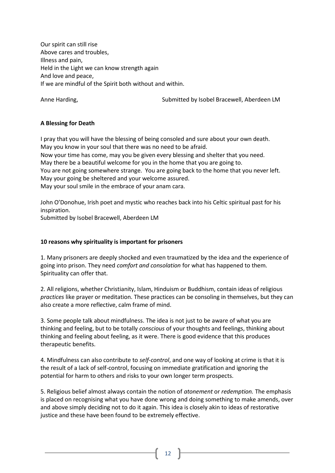Our spirit can still rise Above cares and troubles, Illness and pain, Held in the Light we can know strength again And love and peace, If we are mindful of the Spirit both without and within.

Anne Harding, The Submitted by Isobel Bracewell, Aberdeen LM

# **A Blessing for Death**

I pray that you will have the blessing of being consoled and sure about your own death. May you know in your soul that there was no need to be afraid.

Now your time has come, may you be given every blessing and shelter that you need.

May there be a beautiful welcome for you in the home that you are going to.

You are not going somewhere strange. You are going back to the home that you never left. May your going be sheltered and your welcome assured.

May your soul smile in the embrace of your anam cara.

John O'Donohue, Irish poet and mystic who reaches back into his Celtic spiritual past for his inspiration.

Submitted by Isobel Bracewell, Aberdeen LM

# **10 reasons why spirituality is important for prisoners**

1. Many prisoners are deeply shocked and even traumatized by the idea and the experience of going into prison. They need *comfort and consolation* for what has happened to them. Spirituality can offer that.

2. All religions, whether Christianity, Islam, Hinduism or Buddhism, contain ideas of religious *practices* like prayer or meditation. These practices can be consoling in themselves, but they can also create a more reflective, calm frame of mind.

3. Some people talk about mindfulness. The idea is not just to be aware of what you are thinking and feeling, but to be totally *conscious* of your thoughts and feelings, thinking about thinking and feeling about feeling, as it were. There is good evidence that this produces therapeutic benefits.

4. Mindfulness can also contribute to *self-control*, and one way of looking at crime is that it is the result of a lack of self-control, focusing on immediate gratification and ignoring the potential for harm to others and risks to your own longer term prospects.

5. Religious belief almost always contain the notion of *atonement* or *redemption.* The emphasis is placed on recognising what you have done wrong and doing something to make amends, over and above simply deciding not to do it again. This idea is closely akin to ideas of restorative justice and these have been found to be extremely effective.